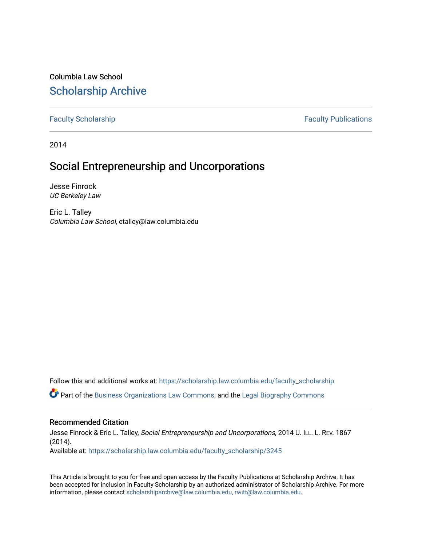Columbia Law School [Scholarship Archive](https://scholarship.law.columbia.edu/) 

[Faculty Scholarship](https://scholarship.law.columbia.edu/faculty_scholarship) **Faculty Publications** 

2014

# Social Entrepreneurship and Uncorporations

Jesse Finrock UC Berkeley Law

Eric L. Talley Columbia Law School, etalley@law.columbia.edu

Follow this and additional works at: [https://scholarship.law.columbia.edu/faculty\\_scholarship](https://scholarship.law.columbia.edu/faculty_scholarship?utm_source=scholarship.law.columbia.edu%2Ffaculty_scholarship%2F3245&utm_medium=PDF&utm_campaign=PDFCoverPages)

Part of the [Business Organizations Law Commons](http://network.bepress.com/hgg/discipline/900?utm_source=scholarship.law.columbia.edu%2Ffaculty_scholarship%2F3245&utm_medium=PDF&utm_campaign=PDFCoverPages), and the [Legal Biography Commons](http://network.bepress.com/hgg/discipline/834?utm_source=scholarship.law.columbia.edu%2Ffaculty_scholarship%2F3245&utm_medium=PDF&utm_campaign=PDFCoverPages) 

# Recommended Citation

Jesse Finrock & Eric L. Talley, Social Entrepreneurship and Uncorporations, 2014 U. ILL. L. REV. 1867 (2014). Available at: [https://scholarship.law.columbia.edu/faculty\\_scholarship/3245](https://scholarship.law.columbia.edu/faculty_scholarship/3245?utm_source=scholarship.law.columbia.edu%2Ffaculty_scholarship%2F3245&utm_medium=PDF&utm_campaign=PDFCoverPages)

This Article is brought to you for free and open access by the Faculty Publications at Scholarship Archive. It has been accepted for inclusion in Faculty Scholarship by an authorized administrator of Scholarship Archive. For more information, please contact [scholarshiparchive@law.columbia.edu, rwitt@law.columbia.edu](mailto:scholarshiparchive@law.columbia.edu,%20rwitt@law.columbia.edu).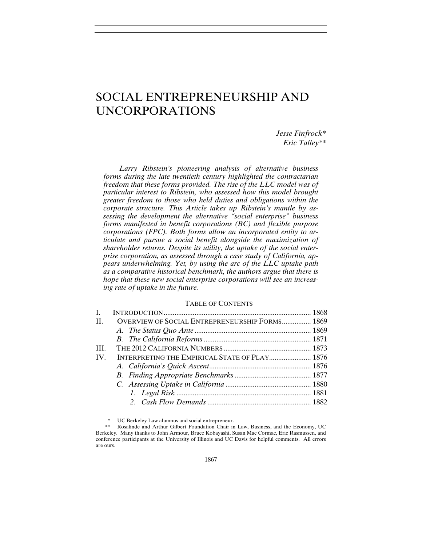# SOCIAL ENTREPRENEURSHIP AND UNCORPORATIONS

*Jesse Finfrock\* Eric Talley\*\**

*Larry Ribstein's pioneering analysis of alternative business forms during the late twentieth century highlighted the contractarian freedom that these forms provided. The rise of the LLC model was of particular interest to Ribstein, who assessed how this model brought greater freedom to those who held duties and obligations within the corporate structure. This Article takes up Ribstein's mantle by assessing the development the alternative "social enterprise" business forms manifested in benefit corporations (BC) and flexible purpose corporations (FPC). Both forms allow an incorporated entity to articulate and pursue a social benefit alongside the maximization of shareholder returns. Despite its utility, the uptake of the social enterprise corporation, as assessed through a case study of California, appears underwhelming. Yet, by using the arc of the LLC uptake path as a comparative historical benchmark, the authors argue that there is hope that these new social enterprise corporations will see an increasing rate of uptake in the future.* 

# TABLE OF CONTENTS

| L   |                                                       |  |
|-----|-------------------------------------------------------|--|
| H.  | <b>OVERVIEW OF SOCIAL ENTREPRENEURSHIP FORMS 1869</b> |  |
|     |                                                       |  |
|     |                                                       |  |
| HL. |                                                       |  |
| IV. | INTERPRETING THE EMPIRICAL STATE OF PLAY 1876         |  |
|     |                                                       |  |
|     |                                                       |  |
|     |                                                       |  |
|     |                                                       |  |
|     |                                                       |  |
|     |                                                       |  |

-

UC Berkeley Law alumnus and social entrepreneur.

 <sup>\*\*</sup> Rosalinde and Arthur Gilbert Foundation Chair in Law, Business, and the Economy, UC Berkeley. Many thanks to John Armour, Bruce Kobayashi, Susan Mac Cormac, Eric Rasmussen, and conference participants at the University of Illinois and UC Davis for helpful comments. All errors are ours.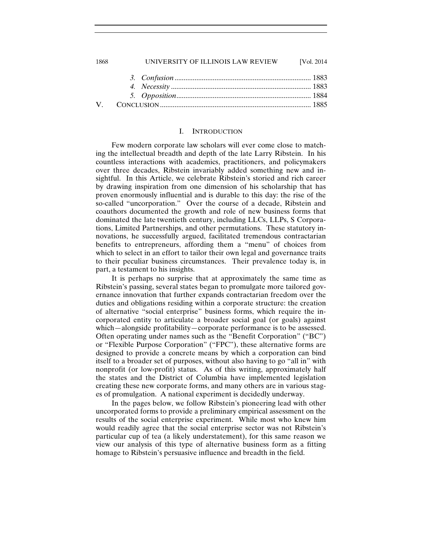# 1868 UNIVERSITY OF ILLINOIS LAW REVIEW [Vol. 2014 *3. Confusion* ........................................................................... 1883 *4. Necessity* ............................................................................. 1883 *5. Opposition* .......................................................................... 1884 V. CONCLUSION ................................................................................... 1885

#### I. INTRODUCTION

Few modern corporate law scholars will ever come close to matching the intellectual breadth and depth of the late Larry Ribstein. In his countless interactions with academics, practitioners, and policymakers over three decades, Ribstein invariably added something new and insightful. In this Article, we celebrate Ribstein's storied and rich career by drawing inspiration from one dimension of his scholarship that has proven enormously influential and is durable to this day: the rise of the so-called "uncorporation." Over the course of a decade, Ribstein and coauthors documented the growth and role of new business forms that dominated the late twentieth century, including LLCs, LLPs, S Corporations, Limited Partnerships, and other permutations. These statutory innovations, he successfully argued, facilitated tremendous contractarian benefits to entrepreneurs, affording them a "menu" of choices from which to select in an effort to tailor their own legal and governance traits to their peculiar business circumstances. Their prevalence today is, in part, a testament to his insights.

It is perhaps no surprise that at approximately the same time as Ribstein's passing, several states began to promulgate more tailored governance innovation that further expands contractarian freedom over the duties and obligations residing within a corporate structure: the creation of alternative "social enterprise" business forms, which require the incorporated entity to articulate a broader social goal (or goals) against which—alongside profitability—corporate performance is to be assessed. Often operating under names such as the "Benefit Corporation" ("BC") or "Flexible Purpose Corporation" ("FPC"), these alternative forms are designed to provide a concrete means by which a corporation can bind itself to a broader set of purposes, without also having to go "all in" with nonprofit (or low-profit) status. As of this writing, approximately half the states and the District of Columbia have implemented legislation creating these new corporate forms, and many others are in various stages of promulgation. A national experiment is decidedly underway.

In the pages below, we follow Ribstein's pioneering lead with other uncorporated forms to provide a preliminary empirical assessment on the results of the social enterprise experiment. While most who knew him would readily agree that the social enterprise sector was not Ribstein's particular cup of tea (a likely understatement), for this same reason we view our analysis of this type of alternative business form as a fitting homage to Ribstein's persuasive influence and breadth in the field.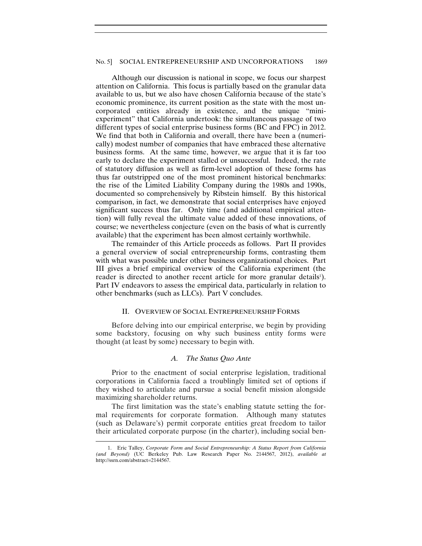Although our discussion is national in scope, we focus our sharpest attention on California. This focus is partially based on the granular data available to us, but we also have chosen California because of the state's economic prominence, its current position as the state with the most uncorporated entities already in existence, and the unique "miniexperiment" that California undertook: the simultaneous passage of two different types of social enterprise business forms (BC and FPC) in 2012. We find that both in California and overall, there have been a (numerically) modest number of companies that have embraced these alternative business forms. At the same time, however, we argue that it is far too early to declare the experiment stalled or unsuccessful. Indeed, the rate of statutory diffusion as well as firm-level adoption of these forms has thus far outstripped one of the most prominent historical benchmarks: the rise of the Limited Liability Company during the 1980s and 1990s, documented so comprehensively by Ribstein himself. By this historical comparison, in fact, we demonstrate that social enterprises have enjoyed significant success thus far. Only time (and additional empirical attention) will fully reveal the ultimate value added of these innovations, of course; we nevertheless conjecture (even on the basis of what is currently available) that the experiment has been almost certainly worthwhile.

The remainder of this Article proceeds as follows. Part II provides a general overview of social entrepreneurship forms, contrasting them with what was possible under other business organizational choices. Part III gives a brief empirical overview of the California experiment (the reader is directed to another recent article for more granular details<sup>1</sup>). Part IV endeavors to assess the empirical data, particularly in relation to other benchmarks (such as LLCs). Part V concludes.

#### II. OVERVIEW OF SOCIAL ENTREPRENEURSHIP FORMS

Before delving into our empirical enterprise, we begin by providing some backstory, focusing on why such business entity forms were thought (at least by some) necessary to begin with.

### *A. The Status Quo Ante*

Prior to the enactment of social enterprise legislation, traditional corporations in California faced a troublingly limited set of options if they wished to articulate and pursue a social benefit mission alongside maximizing shareholder returns.

The first limitation was the state's enabling statute setting the formal requirements for corporate formation. Although many statutes (such as Delaware's) permit corporate entities great freedom to tailor their articulated corporate purpose (in the charter), including social ben-

<sup>1.</sup> Eric Talley, *Corporate Form and Social Entrepreneurship: A Status Report from California (and Beyond)* (UC Berkeley Pub. Law Research Paper No. 2144567, 2012), *available at* http://ssrn.com/abstract=2144567.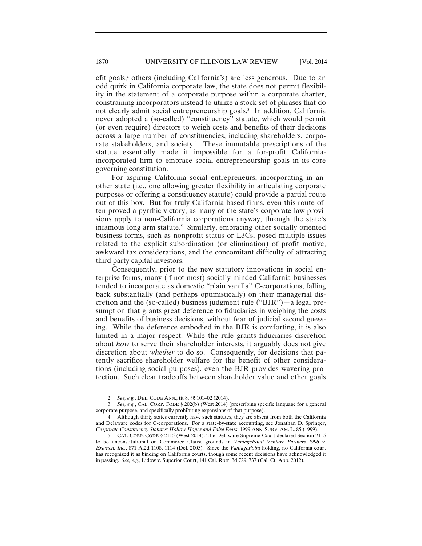efit goals,<sup>2</sup> others (including California's) are less generous. Due to an odd quirk in California corporate law, the state does not permit flexibility in the statement of a corporate purpose within a corporate charter, constraining incorporators instead to utilize a stock set of phrases that do not clearly admit social entrepreneurship goals.<sup>3</sup> In addition, California never adopted a (so-called) "constituency" statute, which would permit (or even require) directors to weigh costs and benefits of their decisions across a large number of constituencies, including shareholders, corporate stakeholders, and society.<sup>4</sup> These immutable prescriptions of the statute essentially made it impossible for a for-profit Californiaincorporated firm to embrace social entrepreneurship goals in its core governing constitution.

For aspiring California social entrepreneurs, incorporating in another state (i.e., one allowing greater flexibility in articulating corporate purposes or offering a constituency statute) could provide a partial route out of this box. But for truly California-based firms, even this route often proved a pyrrhic victory, as many of the state's corporate law provisions apply to non-California corporations anyway, through the state's infamous long arm statute.<sup>5</sup> Similarly, embracing other socially oriented business forms, such as nonprofit status or L3Cs, posed multiple issues related to the explicit subordination (or elimination) of profit motive, awkward tax considerations, and the concomitant difficulty of attracting third party capital investors.

Consequently, prior to the new statutory innovations in social enterprise forms, many (if not most) socially minded California businesses tended to incorporate as domestic "plain vanilla" C-corporations, falling back substantially (and perhaps optimistically) on their managerial discretion and the (so-called) business judgment rule ("BJR")—a legal presumption that grants great deference to fiduciaries in weighing the costs and benefits of business decisions, without fear of judicial second guessing. While the deference embodied in the BJR is comforting, it is also limited in a major respect: While the rule grants fiduciaries discretion about *how* to serve their shareholder interests, it arguably does not give discretion about *whether* to do so. Consequently, for decisions that patently sacrifice shareholder welfare for the benefit of other considerations (including social purposes), even the BJR provides wavering protection. Such clear tradeoffs between shareholder value and other goals

<sup>2.</sup> *See, e.g.*, DEL. CODE ANN., tit 8, §§ 101–02 (2014).

 <sup>3.</sup> *See, e.g.*, CAL. CORP. CODE § 202(b) (West 2014) (prescribing specific language for a general corporate purpose, and specifically prohibiting expansions of that purpose).

 <sup>4.</sup> Although thirty states currently have such statutes, they are absent from both the California and Delaware codes for C-corporations. For a state-by-state accounting, see Jonathan D. Springer, *Corporate Constituency Statutes: Hollow Hopes and False Fears*, 1999 ANN. SURV. AM. L. 85 (1999).

 <sup>5.</sup> CAL. CORP. CODE § 2115 (West 2014). The Delaware Supreme Court declared Section 2115 to be unconstitutional on Commerce Clause grounds in *VantagePoint Venture Partners 1996 v. Examen, Inc.*, 871 A.2d 1108, 1114 (Del. 2005). Since the *VantagePoint* holding, no California court has recognized it as binding on California courts, though some recent decisions have acknowledged it in passing. *See, e.g.*, Lidow v. Superior Court, 141 Cal. Rptr. 3d 729, 737 (Cal. Ct. App. 2012).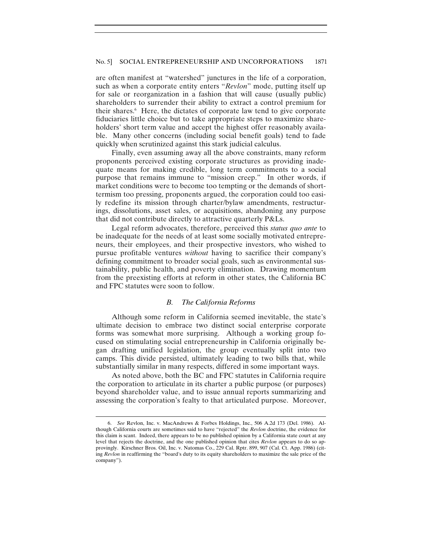#### No. 5] SOCIAL ENTREPRENEURSHIP AND UNCORPORATIONS 1871

are often manifest at "watershed" junctures in the life of a corporation, such as when a corporate entity enters "*Revlon*" mode, putting itself up for sale or reorganization in a fashion that will cause (usually public) shareholders to surrender their ability to extract a control premium for their shares.6 Here, the dictates of corporate law tend to give corporate fiduciaries little choice but to take appropriate steps to maximize shareholders' short term value and accept the highest offer reasonably available. Many other concerns (including social benefit goals) tend to fade quickly when scrutinized against this stark judicial calculus.

Finally, even assuming away all the above constraints, many reform proponents perceived existing corporate structures as providing inadequate means for making credible, long term commitments to a social purpose that remains immune to "mission creep." In other words, if market conditions were to become too tempting or the demands of shorttermism too pressing, proponents argued, the corporation could too easily redefine its mission through charter/bylaw amendments, restructurings, dissolutions, asset sales, or acquisitions, abandoning any purpose that did not contribute directly to attractive quarterly P&Ls.

Legal reform advocates, therefore, perceived this *status quo ante* to be inadequate for the needs of at least some socially motivated entrepreneurs, their employees, and their prospective investors, who wished to pursue profitable ventures *without* having to sacrifice their company's defining commitment to broader social goals, such as environmental sustainability, public health, and poverty elimination. Drawing momentum from the preexisting efforts at reform in other states, the California BC and FPC statutes were soon to follow.

# *B. The California Reforms*

Although some reform in California seemed inevitable, the state's ultimate decision to embrace two distinct social enterprise corporate forms was somewhat more surprising. Although a working group focused on stimulating social entrepreneurship in California originally began drafting unified legislation, the group eventually split into two camps. This divide persisted, ultimately leading to two bills that, while substantially similar in many respects, differed in some important ways.

As noted above, both the BC and FPC statutes in California require the corporation to articulate in its charter a public purpose (or purposes) beyond shareholder value, and to issue annual reports summarizing and assessing the corporation's fealty to that articulated purpose. Moreover,

<sup>6.</sup> *See* Revlon, Inc. v. MacAndrews & Forbes Holdings, Inc., 506 A.2d 173 (Del. 1986). Although California courts are sometimes said to have "rejected" the *Revlon* doctrine, the evidence for this claim is scant. Indeed, there appears to be no published opinion by a California state court at any level that rejects the doctrine, and the one published opinion that cites *Revlon* appears to do so approvingly. Kirschner Bros. Oil, Inc. v. Natomas Co., 229 Cal. Rptr. 899, 907 (Cal. Ct. App. 1986) (citing *Revlon* in reaffirming the "board's duty to its equity shareholders to maximize the sale price of the company").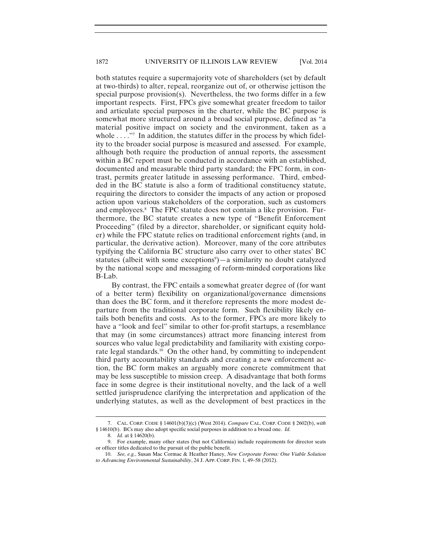both statutes require a supermajority vote of shareholders (set by default at two-thirds) to alter, repeal, reorganize out of, or otherwise jettison the special purpose provision(s). Nevertheless, the two forms differ in a few important respects. First, FPCs give somewhat greater freedom to tailor and articulate special purposes in the charter, while the BC purpose is somewhat more structured around a broad social purpose, defined as "a material positive impact on society and the environment, taken as a whole . . . . . Theorrorian interpretation, the statutes differ in the process by which fidelity to the broader social purpose is measured and assessed. For example, although both require the production of annual reports, the assessment within a BC report must be conducted in accordance with an established, documented and measurable third party standard; the FPC form, in contrast, permits greater latitude in assessing performance. Third, embedded in the BC statute is also a form of traditional constituency statute, requiring the directors to consider the impacts of any action or proposed action upon various stakeholders of the corporation, such as customers and employees.<sup>8</sup> The FPC statute does not contain a like provision. Furthermore, the BC statute creates a new type of "Benefit Enforcement Proceeding" (filed by a director, shareholder, or significant equity holder) while the FPC statute relies on traditional enforcement rights (and, in particular, the derivative action). Moreover, many of the core attributes typifying the California BC structure also carry over to other states' BC statutes (albeit with some exceptions<sup>9</sup>)—a similarity no doubt catalyzed by the national scope and messaging of reform-minded corporations like B-Lab.

By contrast, the FPC entails a somewhat greater degree of (for want of a better term) flexibility on organizational/governance dimensions than does the BC form, and it therefore represents the more modest departure from the traditional corporate form. Such flexibility likely entails both benefits and costs. As to the former, FPCs are more likely to have a "look and feel" similar to other for-profit startups, a resemblance that may (in some circumstances) attract more financing interest from sources who value legal predictability and familiarity with existing corporate legal standards.<sup>10</sup> On the other hand, by committing to independent third party accountability standards and creating a new enforcement action, the BC form makes an arguably more concrete commitment that may be less susceptible to mission creep. A disadvantage that both forms face in some degree is their institutional novelty, and the lack of a well settled jurisprudence clarifying the interpretation and application of the underlying statutes, as well as the development of best practices in the

<sup>7.</sup> CAL. CORP. CODE § 14601(b)(3)(c) (West 2014). *Compare* CAL. CORP. CODE § 2602(b), *with* § 14610(b). BCs may also adopt specific social purposes in addition to a broad one. *Id.*

 <sup>8.</sup> *Id.* at § 14620(b).

 <sup>9.</sup> For example, many other states (but not California) include requirements for director seats or officer titles dedicated to the pursuit of the public benefit.

 <sup>10.</sup> *See, e.g.*, Susan Mac Cormac & Heather Haney, *New Corporate Forms: One Viable Solution to Advancing Environmental Sustainability*, 24 J. APP. CORP. FIN. 1, 49–58 (2012).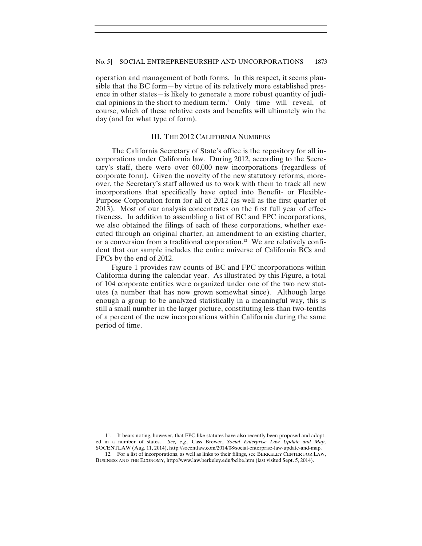operation and management of both forms. In this respect, it seems plausible that the BC form—by virtue of its relatively more established presence in other states—is likely to generate a more robust quantity of judicial opinions in the short to medium term.11 Only time will reveal, of course, which of these relative costs and benefits will ultimately win the day (and for what type of form).

# III. THE 2012 CALIFORNIA NUMBERS

The California Secretary of State's office is the repository for all incorporations under California law. During 2012, according to the Secretary's staff, there were over 60,000 new incorporations (regardless of corporate form). Given the novelty of the new statutory reforms, moreover, the Secretary's staff allowed us to work with them to track all new incorporations that specifically have opted into Benefit- or Flexible-Purpose-Corporation form for all of 2012 (as well as the first quarter of 2013). Most of our analysis concentrates on the first full year of effectiveness. In addition to assembling a list of BC and FPC incorporations, we also obtained the filings of each of these corporations, whether executed through an original charter, an amendment to an existing charter, or a conversion from a traditional corporation.12 We are relatively confident that our sample includes the entire universe of California BCs and FPCs by the end of 2012.

Figure 1 provides raw counts of BC and FPC incorporations within California during the calendar year. As illustrated by this Figure, a total of 104 corporate entities were organized under one of the two new statutes (a number that has now grown somewhat since). Although large enough a group to be analyzed statistically in a meaningful way, this is still a small number in the larger picture, constituting less than two-tenths of a percent of the new incorporations within California during the same period of time.

<sup>11.</sup> It bears noting, however, that FPC-like statutes have also recently been proposed and adopted in a number of states. *See, e.g.*, Cass Brewer, *Social Enterprise Law Update and Map,*  SOCENTLAW (Aug. 11, 2014), http://socentlaw.com/2014/08/social-enterprise-law-update-and-map.

 <sup>12.</sup> For a list of incorporations, as well as links to their filings, see BERKELEY CENTER FOR LAW, BUSINESS AND THE ECONOMY, http://www.law.berkeley.edu/bclbe.htm (last visited Sept. 5, 2014).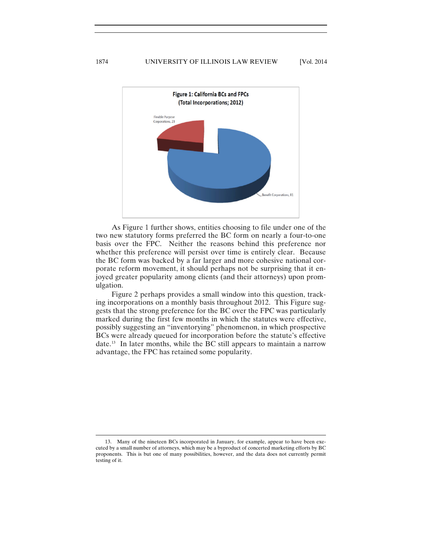

As Figure 1 further shows, entities choosing to file under one of the two new statutory forms preferred the BC form on nearly a four-to-one basis over the FPC. Neither the reasons behind this preference nor whether this preference will persist over time is entirely clear. Because the BC form was backed by a far larger and more cohesive national corporate reform movement, it should perhaps not be surprising that it enjoyed greater popularity among clients (and their attorneys) upon promulgation.

Figure 2 perhaps provides a small window into this question, tracking incorporations on a monthly basis throughout 2012. This Figure suggests that the strong preference for the BC over the FPC was particularly marked during the first few months in which the statutes were effective, possibly suggesting an "inventorying" phenomenon, in which prospective BCs were already queued for incorporation before the statute's effective date.<sup>13</sup> In later months, while the BC still appears to maintain a narrow advantage, the FPC has retained some popularity.

<sup>13.</sup> Many of the nineteen BCs incorporated in January, for example, appear to have been executed by a small number of attorneys, which may be a byproduct of concerted marketing efforts by BC proponents. This is but one of many possibilities, however, and the data does not currently permit testing of it.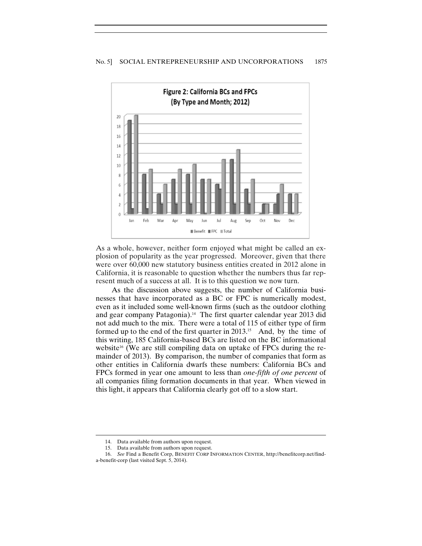

As a whole, however, neither form enjoyed what might be called an explosion of popularity as the year progressed. Moreover, given that there were over 60,000 new statutory business entities created in 2012 alone in California, it is reasonable to question whether the numbers thus far represent much of a success at all. It is to this question we now turn.

As the discussion above suggests, the number of California businesses that have incorporated as a BC or FPC is numerically modest, even as it included some well-known firms (such as the outdoor clothing and gear company Patagonia).<sup>14</sup> The first quarter calendar year 2013 did not add much to the mix. There were a total of 115 of either type of firm formed up to the end of the first quarter in  $2013$ .<sup>15</sup> And, by the time of this writing, 185 California-based BCs are listed on the BC informational website<sup>16</sup> (We are still compiling data on uptake of FPCs during the remainder of 2013). By comparison, the number of companies that form as other entities in California dwarfs these numbers: California BCs and FPCs formed in year one amount to less than *one-fifth of one percent* of all companies filing formation documents in that year. When viewed in this light, it appears that California clearly got off to a slow start.

<sup>14.</sup> Data available from authors upon request.

 <sup>15.</sup> Data available from authors upon request.

 <sup>16.</sup> *See* Find a Benefit Corp, BENEFIT CORP INFORMATION CENTER, http://benefitcorp.net/finda-benefit-corp (last visited Sept. 5, 2014).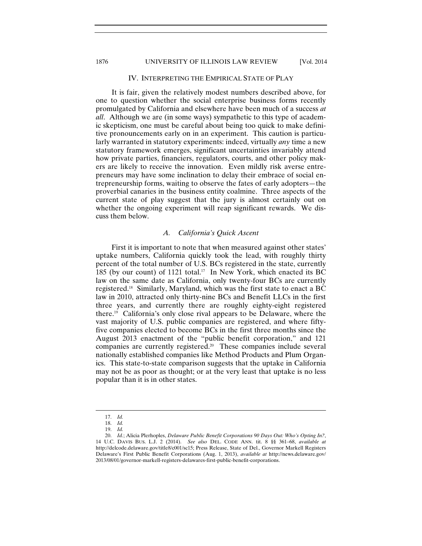#### 1876 UNIVERSITY OF ILLINOIS LAW REVIEW [Vol. 2014

#### IV. INTERPRETING THE EMPIRICAL STATE OF PLAY

It is fair, given the relatively modest numbers described above, for one to question whether the social enterprise business forms recently promulgated by California and elsewhere have been much of a success *at all*. Although we are (in some ways) sympathetic to this type of academic skepticism, one must be careful about being too quick to make definitive pronouncements early on in an experiment. This caution is particularly warranted in statutory experiments: indeed, virtually *any* time a new statutory framework emerges, significant uncertainties invariably attend how private parties, financiers, regulators, courts, and other policy makers are likely to receive the innovation. Even mildly risk averse entrepreneurs may have some inclination to delay their embrace of social entrepreneurship forms, waiting to observe the fates of early adopters—the proverbial canaries in the business entity coalmine. Three aspects of the current state of play suggest that the jury is almost certainly out on whether the ongoing experiment will reap significant rewards. We discuss them below.

#### *A. California's Quick Ascent*

First it is important to note that when measured against other states' uptake numbers, California quickly took the lead, with roughly thirty percent of the total number of U.S. BCs registered in the state, currently 185 (by our count) of 1121 total.<sup>17</sup> In New York, which enacted its BC law on the same date as California, only twenty-four BCs are currently registered.18 Similarly, Maryland, which was the first state to enact a BC law in 2010, attracted only thirty-nine BCs and Benefit LLCs in the first three years, and currently there are roughly eighty-eight registered there.19 California's only close rival appears to be Delaware, where the vast majority of U.S. public companies are registered, and where fiftyfive companies elected to become BCs in the first three months since the August 2013 enactment of the "public benefit corporation," and 121 companies are currently registered.20 These companies include several nationally established companies like Method Products and Plum Organics. This state-to-state comparison suggests that the uptake in California may not be as poor as thought; or at the very least that uptake is no less popular than it is in other states.

<sup>17.</sup> *Id.*

 <sup>18.</sup> *Id.*

 <sup>19.</sup> *Id.*

 <sup>20.</sup> *Id.*; Alicia Plerhoples, *Delaware Public Benefit Corporations 90 Days Out: Who's Opting In?*, 14 U.C. DAVIS BUS. L.J. 2 (2014). *See also* DEL. CODE ANN. tit. 8 §§ 361–68, *available at*  http://delcode.delaware.gov/title8/c001/sc15; Press Release, State of Del., Governor Markell Registers Delaware's First Public Benefit Corporations (Aug. 1, 2013), *available at* http://news.delaware.gov/ 2013/08/01/governor-markell-registers-delawares-first-public-benefit-corporations.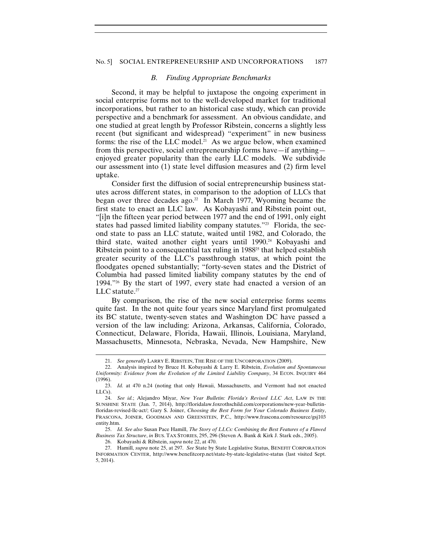#### No. 5] SOCIAL ENTREPRENEURSHIP AND UNCORPORATIONS 1877

#### *B. Finding Appropriate Benchmarks*

Second, it may be helpful to juxtapose the ongoing experiment in social enterprise forms not to the well-developed market for traditional incorporations, but rather to an historical case study, which can provide perspective and a benchmark for assessment. An obvious candidate, and one studied at great length by Professor Ribstein, concerns a slightly less recent (but significant and widespread) "experiment" in new business forms: the rise of the LLC model.<sup>21</sup> As we argue below, when examined from this perspective, social entrepreneurship forms have—if anything enjoyed greater popularity than the early LLC models. We subdivide our assessment into (1) state level diffusion measures and (2) firm level uptake.

Consider first the diffusion of social entrepreneurship business statutes across different states, in comparison to the adoption of LLCs that began over three decades ago.<sup>22</sup> In March 1977, Wyoming became the first state to enact an LLC law. As Kobayashi and Ribstein point out, "[i]n the fifteen year period between 1977 and the end of 1991, only eight states had passed limited liability company statutes."<sup>23</sup> Florida, the second state to pass an LLC statute, waited until 1982, and Colorado, the third state, waited another eight years until 1990.24 Kobayashi and Ribstein point to a consequential tax ruling in 1988<sup>25</sup> that helped establish greater security of the LLC's passthrough status, at which point the floodgates opened substantially; "forty-seven states and the District of Columbia had passed limited liability company statutes by the end of 1994."26 By the start of 1997, every state had enacted a version of an LLC statute.<sup>27</sup>

By comparison, the rise of the new social enterprise forms seems quite fast. In the not quite four years since Maryland first promulgated its BC statute, twenty-seven states and Washington DC have passed a version of the law including: Arizona, Arkansas, California, Colorado, Connecticut, Delaware, Florida, Hawaii, Illinois, Louisiana, Maryland, Massachusetts, Minnesota, Nebraska, Nevada, New Hampshire, New

 25. *Id. See also* Susan Pace Hamill, *The Story of LLCs: Combining the Best Features of a Flawed Business Tax Structure*, *in* BUS. TAX STORIES, 295, 296 (Steven A. Bank & Kirk J. Stark eds., 2005).

26. Kobayashi & Ribstein, *supra* note 22, at 470.

<sup>21.</sup> *See generally* LARRY E. RIBSTEIN, THE RISE OF THE UNCORPORATION (2009).

 <sup>22.</sup> Analysis inspired by Bruce H. Kobayashi & Larry E. Ribstein, *Evolution and Spontaneous Uniformity: Evidence from the Evolution of the Limited Liability Company*, 34 ECON. INQUIRY 464 (1996).

 <sup>23.</sup> *Id.* at 470 n.24 (noting that only Hawaii, Massachusetts, and Vermont had not enacted LLCs).

 <sup>24.</sup> *See id.*; Alejandro Miyar, *New Year Bulletin: Florida's Revised LLC Act*, LAW IN THE SUNSHINE STATE (Jan. 7, 2014), http://floridalaw.foxrothschild.com/corporations/new-year-bulletinfloridas-revised-llc-act/; Gary S. Joiner, *Choosing the Best Form for Your Colorado Business Entity*, FRASCONA, JOINER, GOODMAN AND GREENSTEIN, P.C., http://www.frascona.com/resource/gsj103 entity.htm.

 <sup>27.</sup> Hamill, *supra* note 25, at 297. *See* State by State Legislative Status, BENEFIT CORPORATION INFORMATION CENTER, http://www.benefitcorp.net/state-by-state-legislative-status (last visited Sept. 5, 2014).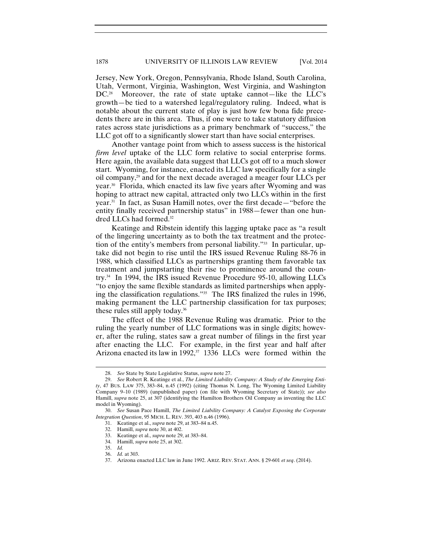Jersey, New York, Oregon, Pennsylvania, Rhode Island, South Carolina, Utah, Vermont, Virginia, Washington, West Virginia, and Washington DC.<sup>28</sup> Moreover, the rate of state uptake cannot—like the LLC's growth—be tied to a watershed legal/regulatory ruling. Indeed, what is notable about the current state of play is just how few bona fide precedents there are in this area. Thus, if one were to take statutory diffusion rates across state jurisdictions as a primary benchmark of "success," the LLC got off to a significantly slower start than have social enterprises.

Another vantage point from which to assess success is the historical *firm level* uptake of the LLC form relative to social enterprise forms. Here again, the available data suggest that LLCs got off to a much slower start. Wyoming, for instance, enacted its LLC law specifically for a single oil company,29 and for the next decade averaged a meager four LLCs per year.30 Florida, which enacted its law five years after Wyoming and was hoping to attract new capital, attracted only two LLCs within in the first year.31 In fact, as Susan Hamill notes, over the first decade—"before the entity finally received partnership status" in 1988—fewer than one hundred LLCs had formed.32

Keatinge and Ribstein identify this lagging uptake pace as "a result of the lingering uncertainty as to both the tax treatment and the protection of the entity's members from personal liability."33 In particular, uptake did not begin to rise until the IRS issued Revenue Ruling 88-76 in 1988, which classified LLCs as partnerships granting them favorable tax treatment and jumpstarting their rise to prominence around the country.34 In 1994, the IRS issued Revenue Procedure 95-10, allowing LLCs "to enjoy the same flexible standards as limited partnerships when applying the classification regulations."35 The IRS finalized the rules in 1996, making permanent the LLC partnership classification for tax purposes; these rules still apply today.36

The effect of the 1988 Revenue Ruling was dramatic. Prior to the ruling the yearly number of LLC formations was in single digits; however, after the ruling, states saw a great number of filings in the first year after enacting the LLC. For example, in the first year and half after Arizona enacted its law in 1992,<sup>37</sup> 1336 LLCs were formed within the

<sup>28.</sup> *See* State by State Legislative Status, *supra* note 27.

 <sup>29.</sup> *See* Robert R. Keatinge et al., *The Limited Liability Company: A Study of the Emerging Entity*, 47 BUS. LAW 375, 383–84, n.45 (1992) (citing Thomas N. Long, The Wyoming Limited Liability Company 9–10 (1989) (unpublished paper) (on file with Wyoming Secretary of State)); *see also* Hamill, *supra* note 25, at 307 (identifying the Hamilton Brothers Oil Company as inventing the LLC model in Wyoming).

 <sup>30.</sup> *See* Susan Pace Hamill, *The Limited Liability Company: A Catalyst Exposing the Corporate Integration Question*, 95 MICH. L. REV. 393, 403 n.46 (1996).

 <sup>31.</sup> Keatinge et al., *supra* note 29, at 383–84 n.45.

 <sup>32.</sup> Hamill, *supra* note 30, at 402.

 <sup>33.</sup> Keatinge et al., *supra* note 29, at 383–84.

 <sup>34.</sup> Hamill, *supra* note 25, at 302.

 <sup>35.</sup> *Id.*

 <sup>36.</sup> *Id.* at 303.

 <sup>37.</sup> Arizona enacted LLC law in June 1992. ARIZ. REV. STAT. ANN. § 29-601 *et seq*. (2014).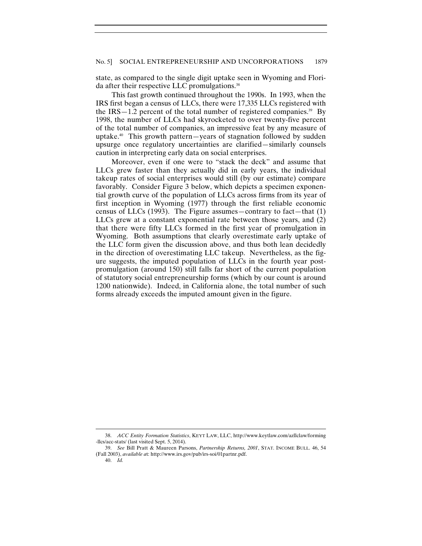state, as compared to the single digit uptake seen in Wyoming and Florida after their respective LLC promulgations.<sup>38</sup>

This fast growth continued throughout the 1990s. In 1993, when the IRS first began a census of LLCs, there were 17,335 LLCs registered with the  $IRS-1.2$  percent of the total number of registered companies.<sup>39</sup> By 1998, the number of LLCs had skyrocketed to over twenty-five percent of the total number of companies, an impressive feat by any measure of uptake. $40$  This growth pattern—years of stagnation followed by sudden upsurge once regulatory uncertainties are clarified—similarly counsels caution in interpreting early data on social enterprises.

Moreover, even if one were to "stack the deck" and assume that LLCs grew faster than they actually did in early years, the individual takeup rates of social enterprises would still (by our estimate) compare favorably. Consider Figure 3 below, which depicts a specimen exponential growth curve of the population of LLCs across firms from its year of first inception in Wyoming (1977) through the first reliable economic census of LLCs (1993). The Figure assumes—contrary to fact—that (1) LLCs grew at a constant exponential rate between those years, and (2) that there were fifty LLCs formed in the first year of promulgation in Wyoming. Both assumptions that clearly overestimate early uptake of the LLC form given the discussion above, and thus both lean decidedly in the direction of overestimating LLC takeup. Nevertheless, as the figure suggests, the imputed population of LLCs in the fourth year postpromulgation (around 150) still falls far short of the current population of statutory social entrepreneurship forms (which by our count is around 1200 nationwide). Indeed, in California alone, the total number of such forms already exceeds the imputed amount given in the figure.

<sup>38.</sup> *ACC Entity Formation Statistics*, KEYT LAW, LLC, http://www.keytlaw.com/azllclaw/forming -llcs/acc-stats/ (last visited Sept. 5, 2014).

 <sup>39.</sup> *See* Bill Pratt & Maureen Parsons, *Partnership Returns, 2001*, STAT. INCOME BULL. 46, 54 (Fall 2003), *available a*t: http://www.irs.gov/pub/irs-soi/01partnr.pdf.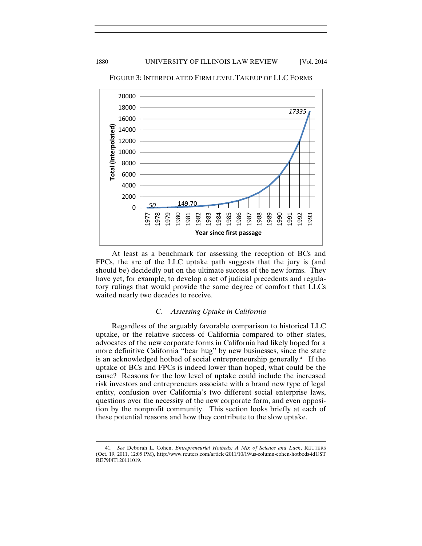

FIGURE 3: INTERPOLATED FIRM LEVEL TAKEUP OF LLC FORMS

At least as a benchmark for assessing the reception of BCs and FPCs, the arc of the LLC uptake path suggests that the jury is (and should be) decidedly out on the ultimate success of the new forms. They have yet, for example, to develop a set of judicial precedents and regulatory rulings that would provide the same degree of comfort that LLCs waited nearly two decades to receive.

# *C. Assessing Uptake in California*

Regardless of the arguably favorable comparison to historical LLC uptake, or the relative success of California compared to other states, advocates of the new corporate forms in California had likely hoped for a more definitive California "bear hug" by new businesses, since the state is an acknowledged hotbed of social entrepreneurship generally.<sup>41</sup> If the uptake of BCs and FPCs is indeed lower than hoped, what could be the cause? Reasons for the low level of uptake could include the increased risk investors and entrepreneurs associate with a brand new type of legal entity, confusion over California's two different social enterprise laws, questions over the necessity of the new corporate form, and even opposition by the nonprofit community. This section looks briefly at each of these potential reasons and how they contribute to the slow uptake.

<sup>41.</sup> *See* Deborah L. Cohen, *Entrepreneurial Hotbeds: A Mix of Science and Luck*, REUTERS (Oct. 19, 2011, 12:05 PM), http://www.reuters.com/article/2011/10/19/us-column-cohen-hotbeds-idUST RE79I4T120111019.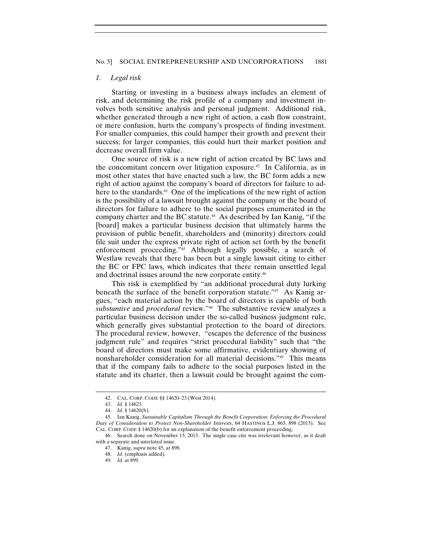#### *1. Legal risk*

Starting or investing in a business always includes an element of risk, and determining the risk profile of a company and investment involves both sensitive analysis and personal judgment. Additional risk, whether generated through a new right of action, a cash flow constraint, or mere confusion, hurts the company's prospects of finding investment. For smaller companies, this could hamper their growth and prevent their success; for larger companies, this could hurt their market position and decrease overall firm value.

One source of risk is a new right of action created by BC laws and the concomitant concern over litigation exposure.<sup>42</sup> In California, as in most other states that have enacted such a law, the BC form adds a new right of action against the company's board of directors for failure to adhere to the standards.<sup>43</sup> One of the implications of the new right of action is the possibility of a lawsuit brought against the company or the board of directors for failure to adhere to the social purposes enumerated in the company charter and the BC statute.<sup>44</sup> As described by Ian Kanig, "if the [board] makes a particular business decision that ultimately harms the provision of public benefit, shareholders and (minority) directors could file suit under the express private right of action set forth by the benefit enforcement proceeding."<sup>45</sup> Although legally possible, a search of Westlaw reveals that there has been but a single lawsuit citing to either the BC or FPC laws, which indicates that there remain unsettled legal and doctrinal issues around the new corporate entity.<sup>46</sup>

This risk is exemplified by "an additional procedural duty lurking beneath the surface of the benefit corporation statute."<sup>47</sup> As Kanig argues, "each material action by the board of directors is capable of both *substantive* and *procedural* review."48 The substantive review analyzes a particular business decision under the so-called business judgment rule, which generally gives substantial protection to the board of directors. The procedural review, however, "escapes the deference of the business judgment rule" and requires "strict procedural liability" such that "the board of directors must make some affirmative, evidentiary showing of nonshareholder consideration for all material decisions."49 This means that if the company fails to adhere to the social purposes listed in the statute and its charter, then a lawsuit could be brought against the com-

<sup>42.</sup> CAL. CORP. CODE §§ 14620–23 (West 2014).

 <sup>43.</sup> *Id.* § 14623.

 <sup>44.</sup> *Id.* § 14620(b).

 <sup>45.</sup> Ian Kanig, *Sustainable Capitalism Through the Benefit Corporation: Enforcing the Procedural Duty of Consideration to Protect Non-Shareholder Interests*, 64 HASTINGS L.J. 863, 898 (2013). See CAL. CORP. CODE § 14620(b) for an explanation of the benefit enforcement proceeding.

 <sup>46.</sup> Search done on November 15, 2013. The single case cite was irrelevant however, as it dealt with a separate and unrelated issue.

 <sup>47.</sup> Kanig, *supra* note 45, at 898.

 <sup>48.</sup> *Id.* (emphasis added).

 <sup>49.</sup> *Id.* at 899.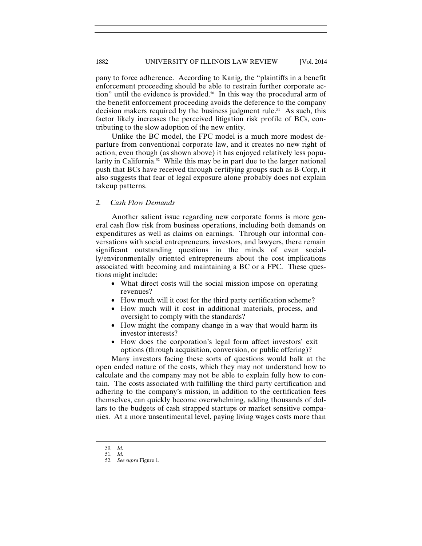pany to force adherence. According to Kanig, the "plaintiffs in a benefit enforcement proceeding should be able to restrain further corporate action" until the evidence is provided.<sup>50</sup> In this way the procedural arm of the benefit enforcement proceeding avoids the deference to the company decision makers required by the business judgment rule.<sup>51</sup> As such, this factor likely increases the perceived litigation risk profile of BCs, contributing to the slow adoption of the new entity.

Unlike the BC model, the FPC model is a much more modest departure from conventional corporate law, and it creates no new right of action, even though (as shown above) it has enjoyed relatively less popularity in California.<sup>52</sup> While this may be in part due to the larger national push that BCs have received through certifying groups such as B-Corp, it also suggests that fear of legal exposure alone probably does not explain takeup patterns.

# *2. Cash Flow Demands*

Another salient issue regarding new corporate forms is more general cash flow risk from business operations, including both demands on expenditures as well as claims on earnings. Through our informal conversations with social entrepreneurs, investors, and lawyers, there remain significant outstanding questions in the minds of even socially/environmentally oriented entrepreneurs about the cost implications associated with becoming and maintaining a BC or a FPC. These questions might include:

- What direct costs will the social mission impose on operating revenues?
- How much will it cost for the third party certification scheme?
- How much will it cost in additional materials, process, and oversight to comply with the standards?
- How might the company change in a way that would harm its investor interests?
- How does the corporation's legal form affect investors' exit options (through acquisition, conversion, or public offering)?

Many investors facing these sorts of questions would balk at the open ended nature of the costs, which they may not understand how to calculate and the company may not be able to explain fully how to contain. The costs associated with fulfilling the third party certification and adhering to the company's mission, in addition to the certification fees themselves, can quickly become overwhelming, adding thousands of dollars to the budgets of cash strapped startups or market sensitive companies. At a more unsentimental level, paying living wages costs more than

<sup>50.</sup> *Id.*

 <sup>51.</sup> *Id.*

 <sup>52.</sup> *See supra* Figure 1.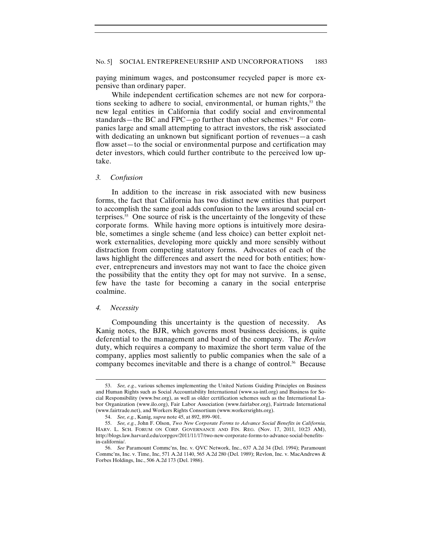paying minimum wages, and postconsumer recycled paper is more expensive than ordinary paper.

While independent certification schemes are not new for corporations seeking to adhere to social, environmental, or human rights, $53$  the new legal entities in California that codify social and environmental standards—the BC and FPC—go further than other schemes.<sup>54</sup> For companies large and small attempting to attract investors, the risk associated with dedicating an unknown but significant portion of revenues—a cash flow asset—to the social or environmental purpose and certification may deter investors, which could further contribute to the perceived low uptake.

### *3. Confusion*

In addition to the increase in risk associated with new business forms, the fact that California has two distinct new entities that purport to accomplish the same goal adds confusion to the laws around social enterprises.55 One source of risk is the uncertainty of the longevity of these corporate forms. While having more options is intuitively more desirable, sometimes a single scheme (and less choice) can better exploit network externalities, developing more quickly and more sensibly without distraction from competing statutory forms. Advocates of each of the laws highlight the differences and assert the need for both entities; however, entrepreneurs and investors may not want to face the choice given the possibility that the entity they opt for may not survive. In a sense, few have the taste for becoming a canary in the social enterprise coalmine.

#### *4. Necessity*

 $\overline{a}$ 

Compounding this uncertainty is the question of necessity. As Kanig notes, the BJR, which governs most business decisions, is quite deferential to the management and board of the company. The *Revlon* duty, which requires a company to maximize the short term value of the company, applies most saliently to public companies when the sale of a company becomes inevitable and there is a change of control.<sup>56</sup> Because

<sup>53.</sup> *See, e.g.*, various schemes implementing the United Nations Guiding Principles on Business and Human Rights such as Social Accountability International (www.sa-intl.org) and Business for Social Responsibility (www.bsr.org), as well as older certification schemes such as the International Labor Organization (www.ilo.org), Fair Labor Association (www.fairlabor.org), Fairtrade International (www.fairtrade.net), and Workers Rights Consortium (www.workersrights.org).

 <sup>54.</sup> *See, e.g.*, Kanig, *supra* note 45, at 892, 899–901.

 <sup>55.</sup> *See, e.g.*, John F. Olson, *Two New Corporate Forms to Advance Social Benefits in California,*  HARV. L. SCH. FORUM ON CORP. GOVERNANCE AND FIN. REG. (Nov. 17, 2011, 10:23 AM), http://blogs.law.harvard.edu/corpgov/2011/11/17/two-new-corporate-forms-to-advance-social-benefitsin-california/.

 <sup>56.</sup> *See* Paramount Commc'ns, Inc. v. QVC Network, Inc., 637 A.2d 34 (Del. 1994); Paramount Commc'ns, Inc. v. Time, Inc, 571 A.2d 1140, 565 A.2d 280 (Del. 1989); Revlon, Inc. v. MacAndrews & Forbes Holdings, Inc., 506 A.2d 173 (Del. 1986).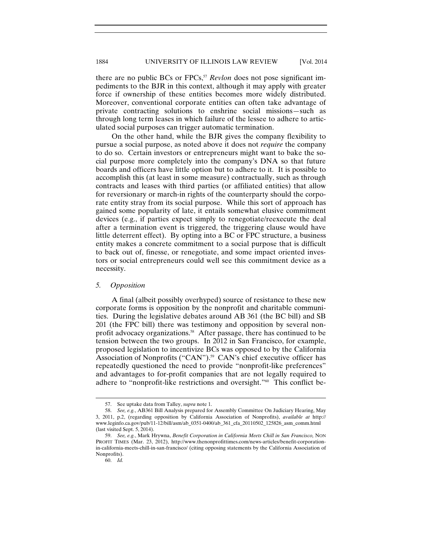### 1884 UNIVERSITY OF ILLINOIS LAW REVIEW [Vol. 2014

there are no public BCs or FPCs,<sup>57</sup> *Revlon* does not pose significant impediments to the BJR in this context, although it may apply with greater force if ownership of these entities becomes more widely distributed. Moreover, conventional corporate entities can often take advantage of private contracting solutions to enshrine social missions—such as through long term leases in which failure of the lessee to adhere to articulated social purposes can trigger automatic termination.

On the other hand, while the BJR gives the company flexibility to pursue a social purpose, as noted above it does not *require* the company to do so. Certain investors or entrepreneurs might want to bake the social purpose more completely into the company's DNA so that future boards and officers have little option but to adhere to it. It is possible to accomplish this (at least in some measure) contractually, such as through contracts and leases with third parties (or affiliated entities) that allow for reversionary or march-in rights of the counterparty should the corporate entity stray from its social purpose. While this sort of approach has gained some popularity of late, it entails somewhat elusive commitment devices (e.g., if parties expect simply to renegotiate/reexecute the deal after a termination event is triggered, the triggering clause would have little deterrent effect). By opting into a BC or FPC structure, a business entity makes a concrete commitment to a social purpose that is difficult to back out of, finesse, or renegotiate, and some impact oriented investors or social entrepreneurs could well see this commitment device as a necessity.

#### *5. Opposition*

A final (albeit possibly overhyped) source of resistance to these new corporate forms is opposition by the nonprofit and charitable communities. During the legislative debates around AB 361 (the BC bill) and SB 201 (the FPC bill) there was testimony and opposition by several nonprofit advocacy organizations.58 After passage, there has continued to be tension between the two groups. In 2012 in San Francisco, for example, proposed legislation to incentivize BCs was opposed to by the California Association of Nonprofits ("CAN").<sup>59</sup> CAN's chief executive officer has repeatedly questioned the need to provide "nonprofit-like preferences" and advantages to for-profit companies that are not legally required to adhere to "nonprofit-like restrictions and oversight."60 This conflict be-

<sup>57.</sup> See uptake data from Talley, *supra* note 1.

 <sup>58.</sup> *See, e.g.*, AB361 Bill Analysis prepared for Assembly Committee On Judiciary Hearing, May 3, 2011, p.2, (regarding opposition by California Association of Nonprofits), *available at* http:// www.leginfo.ca.gov/pub/11-12/bill/asm/ab\_0351-0400/ab\_361\_cfa\_20110502\_125826\_asm\_comm.html (last visited Sept. 5, 2014).

 <sup>59.</sup> *See, e.g.*, Mark Hrywna, *Benefit Corporation in California Meets Chill in San Francisco,* NON PROFIT TIMES (Mar. 23, 2012), http://www.thenonprofittimes.com/news-articles/benefit-corporationin-california-meets-chill-in-san-francisco/ (citing opposing statements by the California Association of Nonprofits).

 <sup>60.</sup> *Id.*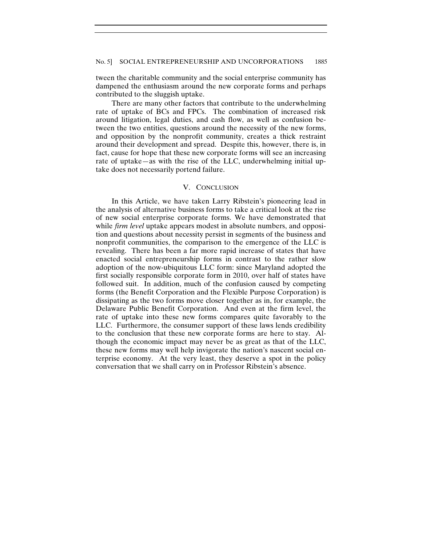tween the charitable community and the social enterprise community has dampened the enthusiasm around the new corporate forms and perhaps contributed to the sluggish uptake.

There are many other factors that contribute to the underwhelming rate of uptake of BCs and FPCs. The combination of increased risk around litigation, legal duties, and cash flow, as well as confusion between the two entities, questions around the necessity of the new forms, and opposition by the nonprofit community, creates a thick restraint around their development and spread. Despite this, however, there is, in fact, cause for hope that these new corporate forms will see an increasing rate of uptake—as with the rise of the LLC, underwhelming initial uptake does not necessarily portend failure.

#### V. CONCLUSION

In this Article, we have taken Larry Ribstein's pioneering lead in the analysis of alternative business forms to take a critical look at the rise of new social enterprise corporate forms. We have demonstrated that while *firm level* uptake appears modest in absolute numbers, and opposition and questions about necessity persist in segments of the business and nonprofit communities, the comparison to the emergence of the LLC is revealing. There has been a far more rapid increase of states that have enacted social entrepreneurship forms in contrast to the rather slow adoption of the now-ubiquitous LLC form: since Maryland adopted the first socially responsible corporate form in 2010, over half of states have followed suit. In addition, much of the confusion caused by competing forms (the Benefit Corporation and the Flexible Purpose Corporation) is dissipating as the two forms move closer together as in, for example, the Delaware Public Benefit Corporation. And even at the firm level, the rate of uptake into these new forms compares quite favorably to the LLC. Furthermore, the consumer support of these laws lends credibility to the conclusion that these new corporate forms are here to stay. Although the economic impact may never be as great as that of the LLC, these new forms may well help invigorate the nation's nascent social enterprise economy. At the very least, they deserve a spot in the policy conversation that we shall carry on in Professor Ribstein's absence.